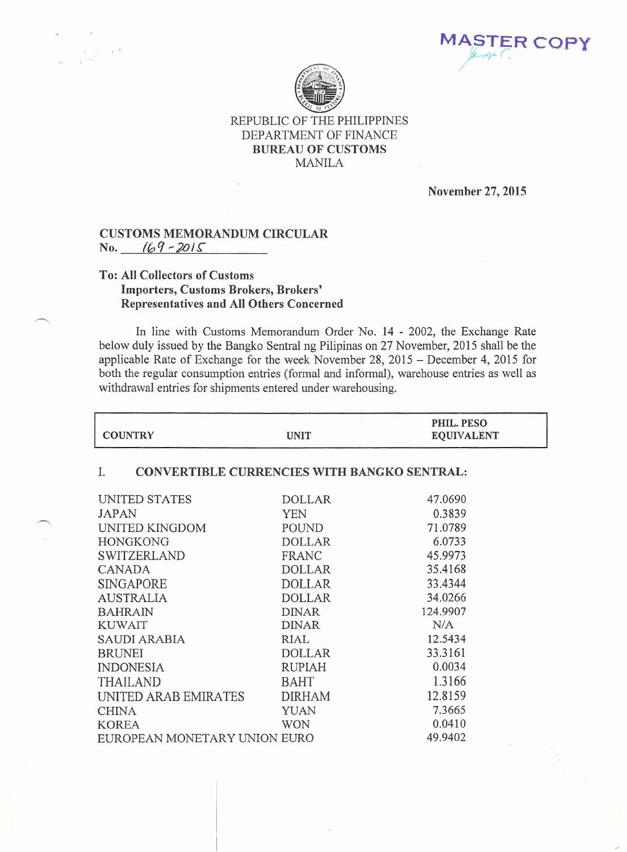**MASTER COP** */-- 'r? r .* /

٦



REPUBLIC OF THE PHILIPPINES DEPARTMENT OF FINANCE BUREAU OF CUSTOMS MANILA

November 27,2015

## CUSTOMS MEMORANDUM CIRCULAR No. *l0q~20/~*

## To: All Collectors of Customs Importers, Customs Brokers, Brokers' Representatives and All Others Concerned

In line with Customs Memorandum Order No. 14 - 2002, the Exchange Rate below duly issued by the Bangko Sentral ng Pilipinas on 27 November, 2015 shall be the applicable Rate of Exchange for the week November 28, 2015 - December 4, 2015 for both the regular consumption entries (formal and informal), warehouse entries as well as withdrawal entries for shipments entered under warehousing.

| <b>UNIT</b>                                              | PHIL. PESO<br><b>EQUIVALENT</b> |  |  |
|----------------------------------------------------------|---------------------------------|--|--|
| <b>CONVERTIBLE CURRENCIES WITH BANGKO SENTRAL:</b><br>I. |                                 |  |  |
| <b>DOLLAR</b>                                            | 47.0690                         |  |  |
| <b>YEN</b>                                               | 0.3839                          |  |  |
| POUND                                                    | 71.0789                         |  |  |
| <b>DOLLAR</b>                                            | 6.0733                          |  |  |
| FRANC                                                    | 45.9973                         |  |  |
| <b>DOLLAR</b>                                            | 35.4168                         |  |  |
| <b>DOLLAR</b>                                            | 33.4344                         |  |  |
| <b>DOLLAR</b>                                            | 34.0266                         |  |  |
| <b>DINAR</b>                                             | 124.9907                        |  |  |
| <b>DINAR</b>                                             | N/A                             |  |  |
| RIAL                                                     | 12.5434                         |  |  |
| <b>DOLLAR</b>                                            | 33.3161                         |  |  |
| <b>RUPIAH</b>                                            | 0.0034                          |  |  |
| <b>BAHT</b>                                              | 1.3166                          |  |  |
| <b>DIRHAM</b>                                            | 12.8159                         |  |  |
| <b>YUAN</b>                                              | 7.3665                          |  |  |
| <b>WON</b>                                               | 0.0410                          |  |  |
|                                                          | 49.9402                         |  |  |
|                                                          | EUROPEAN MONETARY UNION EURO    |  |  |